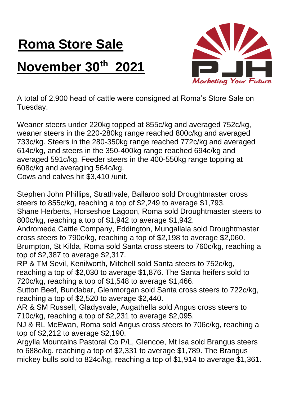## **Roma Store Sale**

## **November 30th 2021**



A total of 2,900 head of cattle were consigned at Roma's Store Sale on Tuesday.

Weaner steers under 220kg topped at 855c/kg and averaged 752c/kg, weaner steers in the 220-280kg range reached 800c/kg and averaged 733c/kg. Steers in the 280-350kg range reached 772c/kg and averaged 614c/kg, and steers in the 350-400kg range reached 694c/kg and averaged 591c/kg. Feeder steers in the 400-550kg range topping at 608c/kg and averaging 564c/kg.

Cows and calves hit \$3,410 /unit.

Stephen John Phillips, Strathvale, Ballaroo sold Droughtmaster cross steers to 855c/kg, reaching a top of \$2,249 to average \$1,793. Shane Herberts, Horseshoe Lagoon, Roma sold Droughtmaster steers to 800c/kg, reaching a top of \$1,942 to average \$1,942.

Andromeda Cattle Company, Eddington, Mungallala sold Droughtmaster cross steers to 790c/kg, reaching a top of \$2,198 to average \$2,060. Brumpton, St Kilda, Roma sold Santa cross steers to 760c/kg, reaching a top of \$2,387 to average \$2,317.

RP & TM Sevil, Kenilworth, Mitchell sold Santa steers to 752c/kg, reaching a top of \$2,030 to average \$1,876. The Santa heifers sold to 720c/kg, reaching a top of \$1,548 to average \$1,466.

Sutton Beef, Bundabar, Glenmorgan sold Santa cross steers to 722c/kg, reaching a top of \$2,520 to average \$2,440.

AR & SM Russell, Gladysvale, Augathella sold Angus cross steers to 710c/kg, reaching a top of \$2,231 to average \$2,095.

NJ & RL McEwan, Roma sold Angus cross steers to 706c/kg, reaching a top of \$2,212 to average \$2,190.

Argylla Mountains Pastoral Co P/L, Glencoe, Mt Isa sold Brangus steers to 688c/kg, reaching a top of \$2,331 to average \$1,789. The Brangus mickey bulls sold to 824c/kg, reaching a top of \$1,914 to average \$1,361.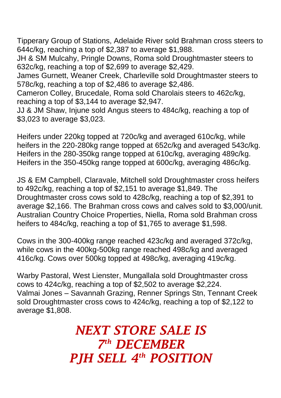Tipperary Group of Stations, Adelaide River sold Brahman cross steers to 644c/kg, reaching a top of \$2,387 to average \$1,988.

JH & SM Mulcahy, Pringle Downs, Roma sold Droughtmaster steers to 632c/kg, reaching a top of \$2,699 to average \$2,429.

James Gurnett, Weaner Creek, Charleville sold Droughtmaster steers to 578c/kg, reaching a top of \$2,486 to average \$2,486.

Cameron Colley, Brucedale, Roma sold Charolais steers to 462c/kg, reaching a top of \$3,144 to average \$2,947.

JJ & JM Shaw, Injune sold Angus steers to 484c/kg, reaching a top of \$3,023 to average \$3,023.

Heifers under 220kg topped at 720c/kg and averaged 610c/kg, while heifers in the 220-280kg range topped at 652c/kg and averaged 543c/kg. Heifers in the 280-350kg range topped at 610c/kg, averaging 489c/kg. Heifers in the 350-450kg range topped at 600c/kg, averaging 486c/kg.

JS & EM Campbell, Claravale, Mitchell sold Droughtmaster cross heifers to 492c/kg, reaching a top of \$2,151 to average \$1,849. The Droughtmaster cross cows sold to 428c/kg, reaching a top of \$2,391 to average \$2,166. The Brahman cross cows and calves sold to \$3,000/unit. Australian Country Choice Properties, Niella, Roma sold Brahman cross heifers to 484c/kg, reaching a top of \$1,765 to average \$1,598.

Cows in the 300-400kg range reached 423c/kg and averaged 372c/kg, while cows in the 400kg-500kg range reached 498c/kg and averaged 416c/kg. Cows over 500kg topped at 498c/kg, averaging 419c/kg.

Warby Pastoral, West Lienster, Mungallala sold Droughtmaster cross cows to 424c/kg, reaching a top of \$2,502 to average \$2,224. Valmai Jones – Savannah Grazing, Renner Springs Stn, Tennant Creek sold Droughtmaster cross cows to 424c/kg, reaching a top of \$2,122 to average \$1,808.

> *NEXT STORE SALE IS 7 th DECEMBER PJH SELL 4 th POSITION*